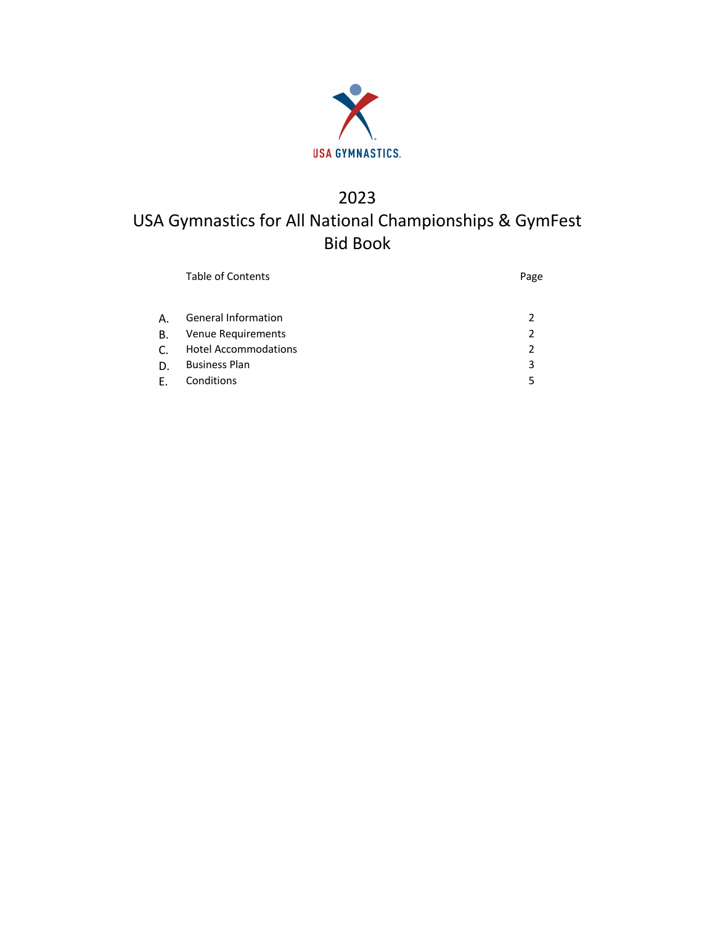

# 2023 USA Gymnastics for All National Championships & GymFest Bid Book

| <b>Table of Contents</b>    | Page           |  |  |
|-----------------------------|----------------|--|--|
| <b>General Information</b>  | $\mathcal{P}$  |  |  |
| Venue Requirements          | $\mathcal{P}$  |  |  |
| <b>Hotel Accommodations</b> | $\mathfrak{p}$ |  |  |
| <b>Business Plan</b>        | 3              |  |  |
| Conditions                  | 5              |  |  |
|                             |                |  |  |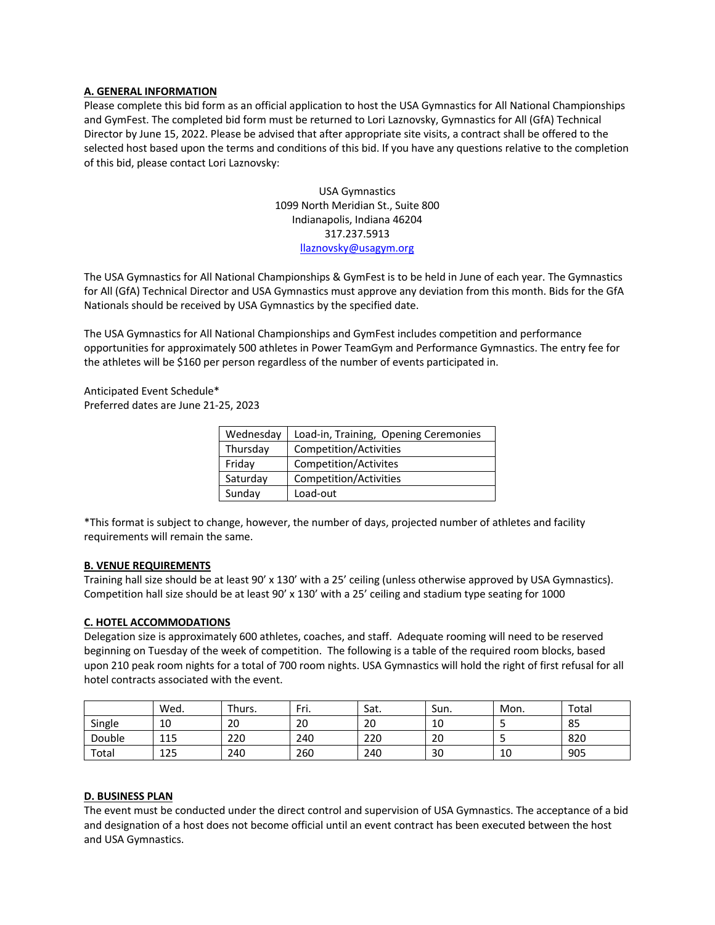## **A. GENERAL INFORMATION**

Please complete this bid form as an official application to host the USA Gymnastics for All National Championships and GymFest. The completed bid form must be returned to Lori Laznovsky, Gymnastics for All (GfA) Technical Director by June 15, 2022. Please be advised that after appropriate site visits, a contract shall be offered to the selected host based upon the terms and conditions of this bid. If you have any questions relative to the completion of this bid, please contact Lori Laznovsky:

> USA Gymnastics 1099 North Meridian St., Suite 800 Indianapolis, Indiana 46204 317.237.5913 llaznovsky@usagym.org

The USA Gymnastics for All National Championships & GymFest is to be held in June of each year. The Gymnastics for All (GfA) Technical Director and USA Gymnastics must approve any deviation from this month. Bids for the GfA Nationals should be received by USA Gymnastics by the specified date.

The USA Gymnastics for All National Championships and GymFest includes competition and performance opportunities for approximately 500 athletes in Power TeamGym and Performance Gymnastics. The entry fee for the athletes will be \$160 per person regardless of the number of events participated in.

Anticipated Event Schedule\* Preferred dates are June 21-25, 2023

| Wednesday | Load-in, Training, Opening Ceremonies |
|-----------|---------------------------------------|
| Thursday  | Competition/Activities                |
| Friday    | Competition/Activites                 |
| Saturday  | Competition/Activities                |
| Sunday    | Load-out                              |

\*This format is subject to change, however, the number of days, projected number of athletes and facility requirements will remain the same.

#### **B. VENUE REQUIREMENTS**

Training hall size should be at least 90' x 130' with a 25' ceiling (unless otherwise approved by USA Gymnastics). Competition hall size should be at least 90' x 130' with a 25' ceiling and stadium type seating for 1000

#### **C. HOTEL ACCOMMODATIONS**

Delegation size is approximately 600 athletes, coaches, and staff. Adequate rooming will need to be reserved beginning on Tuesday of the week of competition. The following is a table of the required room blocks, based upon 210 peak room nights for a total of 700 room nights. USA Gymnastics will hold the right of first refusal for all hotel contracts associated with the event.

|        | Wed. | Thurs. | Fri. | Sat. | Sun. | Mon. | Total |
|--------|------|--------|------|------|------|------|-------|
| Single | 10   | 20     | 20   | 20   | 10   |      | 85    |
| Double | 115  | 220    | 240  | 220  | 20   |      | 820   |
| Total  | 125  | 240    | 260  | 240  | 30   | 10   | 905   |

## **D. BUSINESS PLAN**

The event must be conducted under the direct control and supervision of USA Gymnastics. The acceptance of a bid and designation of a host does not become official until an event contract has been executed between the host and USA Gymnastics.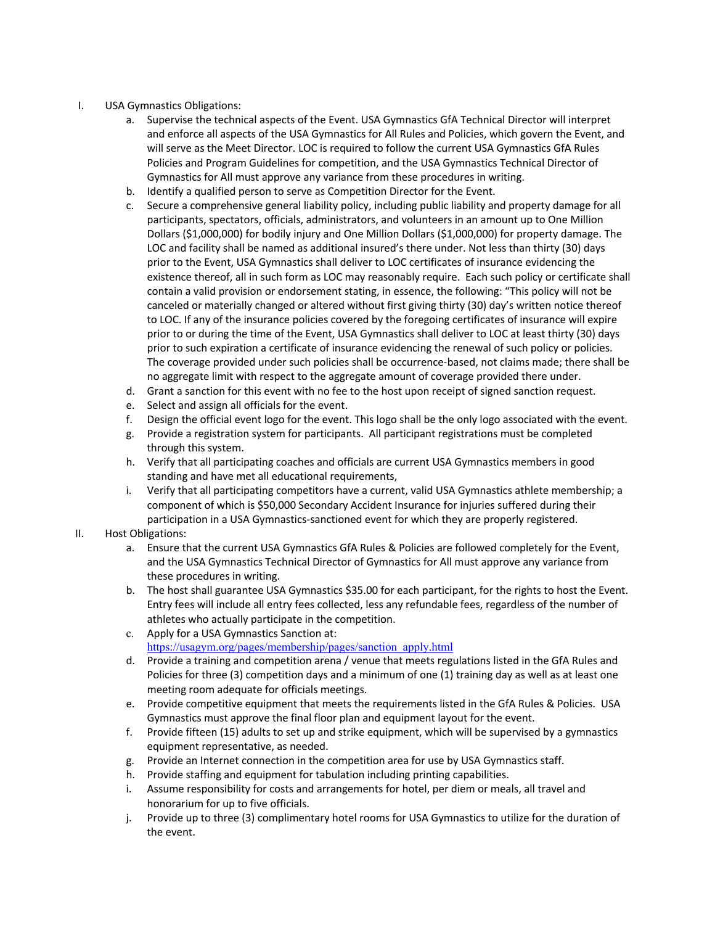- I. USA Gymnastics Obligations:
	- a. Supervise the technical aspects of the Event. USA Gymnastics GfA Technical Director will interpret and enforce all aspects of the USA Gymnastics for All Rules and Policies, which govern the Event, and will serve as the Meet Director. LOC is required to follow the current USA Gymnastics GfA Rules Policies and Program Guidelines for competition, and the USA Gymnastics Technical Director of Gymnastics for All must approve any variance from these procedures in writing.
	- b. Identify a qualified person to serve as Competition Director for the Event.
	- c. Secure a comprehensive general liability policy, including public liability and property damage for all participants, spectators, officials, administrators, and volunteers in an amount up to One Million Dollars (\$1,000,000) for bodily injury and One Million Dollars (\$1,000,000) for property damage. The LOC and facility shall be named as additional insured's there under. Not less than thirty (30) days prior to the Event, USA Gymnastics shall deliver to LOC certificates of insurance evidencing the existence thereof, all in such form as LOC may reasonably require. Each such policy or certificate shall contain a valid provision or endorsement stating, in essence, the following: "This policy will not be canceled or materially changed or altered without first giving thirty (30) day's written notice thereof to LOC. If any of the insurance policies covered by the foregoing certificates of insurance will expire prior to or during the time of the Event, USA Gymnastics shall deliver to LOC at least thirty (30) days prior to such expiration a certificate of insurance evidencing the renewal of such policy or policies. The coverage provided under such policies shall be occurrence-based, not claims made; there shall be no aggregate limit with respect to the aggregate amount of coverage provided there under.
	- d. Grant a sanction for this event with no fee to the host upon receipt of signed sanction request.
	- e. Select and assign all officials for the event.
	- f. Design the official event logo for the event. This logo shall be the only logo associated with the event.
	- g. Provide a registration system for participants. All participant registrations must be completed through this system.
	- h. Verify that all participating coaches and officials are current USA Gymnastics members in good standing and have met all educational requirements,
	- i. Verify that all participating competitors have a current, valid USA Gymnastics athlete membership; a component of which is \$50,000 Secondary Accident Insurance for injuries suffered during their participation in a USA Gymnastics-sanctioned event for which they are properly registered.
- II. Host Obligations:
	- a. Ensure that the current USA Gymnastics GfA Rules & Policies are followed completely for the Event, and the USA Gymnastics Technical Director of Gymnastics for All must approve any variance from these procedures in writing.
	- b. The host shall guarantee USA Gymnastics \$35.00 for each participant, for the rights to host the Event. Entry fees will include all entry fees collected, less any refundable fees, regardless of the number of athletes who actually participate in the competition.
	- c. Apply for a USA Gymnastics Sanction at: https://usagym.org/pages/membership/pages/sanction\_apply.html
	- d. Provide a training and competition arena / venue that meets regulations listed in the GfA Rules and Policies for three (3) competition days and a minimum of one (1) training day as well as at least one meeting room adequate for officials meetings.
	- e. Provide competitive equipment that meets the requirements listed in the GfA Rules & Policies. USA Gymnastics must approve the final floor plan and equipment layout for the event.
	- f. Provide fifteen (15) adults to set up and strike equipment, which will be supervised by a gymnastics equipment representative, as needed.
	- g. Provide an Internet connection in the competition area for use by USA Gymnastics staff.
	- h. Provide staffing and equipment for tabulation including printing capabilities.
	- i. Assume responsibility for costs and arrangements for hotel, per diem or meals, all travel and honorarium for up to five officials.
	- j. Provide up to three (3) complimentary hotel rooms for USA Gymnastics to utilize for the duration of the event.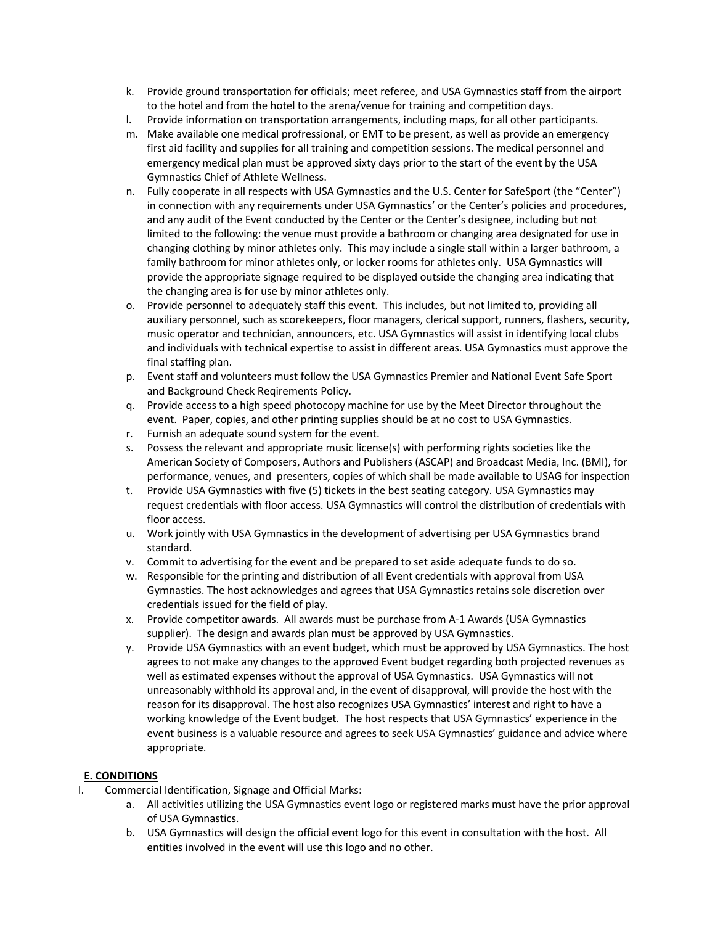- k. Provide ground transportation for officials; meet referee, and USA Gymnastics staff from the airport to the hotel and from the hotel to the arena/venue for training and competition days.
- l. Provide information on transportation arrangements, including maps, for all other participants.
- m. Make available one medical profressional, or EMT to be present, as well as provide an emergency first aid facility and supplies for all training and competition sessions. The medical personnel and emergency medical plan must be approved sixty days prior to the start of the event by the USA Gymnastics Chief of Athlete Wellness.
- n. Fully cooperate in all respects with USA Gymnastics and the U.S. Center for SafeSport (the "Center") in connection with any requirements under USA Gymnastics' or the Center's policies and procedures, and any audit of the Event conducted by the Center or the Center's designee, including but not limited to the following: the venue must provide a bathroom or changing area designated for use in changing clothing by minor athletes only. This may include a single stall within a larger bathroom, a family bathroom for minor athletes only, or locker rooms for athletes only. USA Gymnastics will provide the appropriate signage required to be displayed outside the changing area indicating that the changing area is for use by minor athletes only.
- o. Provide personnel to adequately staff this event. This includes, but not limited to, providing all auxiliary personnel, such as scorekeepers, floor managers, clerical support, runners, flashers, security, music operator and technician, announcers, etc. USA Gymnastics will assist in identifying local clubs and individuals with technical expertise to assist in different areas. USA Gymnastics must approve the final staffing plan.
- p. Event staff and volunteers must follow the USA Gymnastics Premier and National Event Safe Sport and Background Check Reqirements Policy.
- q. Provide access to a high speed photocopy machine for use by the Meet Director throughout the event. Paper, copies, and other printing supplies should be at no cost to USA Gymnastics.
- r. Furnish an adequate sound system for the event.
- s. Possess the relevant and appropriate music license(s) with performing rights societies like the American Society of Composers, Authors and Publishers (ASCAP) and Broadcast Media, Inc. (BMI), for performance, venues, and presenters, copies of which shall be made available to USAG for inspection
- t. Provide USA Gymnastics with five (5) tickets in the best seating category. USA Gymnastics may request credentials with floor access. USA Gymnastics will control the distribution of credentials with floor access.
- u. Work jointly with USA Gymnastics in the development of advertising per USA Gymnastics brand standard.
- v. Commit to advertising for the event and be prepared to set aside adequate funds to do so.
- w. Responsible for the printing and distribution of all Event credentials with approval from USA Gymnastics. The host acknowledges and agrees that USA Gymnastics retains sole discretion over credentials issued for the field of play.
- x. Provide competitor awards. All awards must be purchase from A-1 Awards (USA Gymnastics supplier). The design and awards plan must be approved by USA Gymnastics.
- y. Provide USA Gymnastics with an event budget, which must be approved by USA Gymnastics. The host agrees to not make any changes to the approved Event budget regarding both projected revenues as well as estimated expenses without the approval of USA Gymnastics. USA Gymnastics will not unreasonably withhold its approval and, in the event of disapproval, will provide the host with the reason for its disapproval. The host also recognizes USA Gymnastics' interest and right to have a working knowledge of the Event budget. The host respects that USA Gymnastics' experience in the event business is a valuable resource and agrees to seek USA Gymnastics' guidance and advice where appropriate.

# **E. CONDITIONS**

- I. Commercial Identification, Signage and Official Marks:
	- a. All activities utilizing the USA Gymnastics event logo or registered marks must have the prior approval of USA Gymnastics.
	- b. USA Gymnastics will design the official event logo for this event in consultation with the host. All entities involved in the event will use this logo and no other.